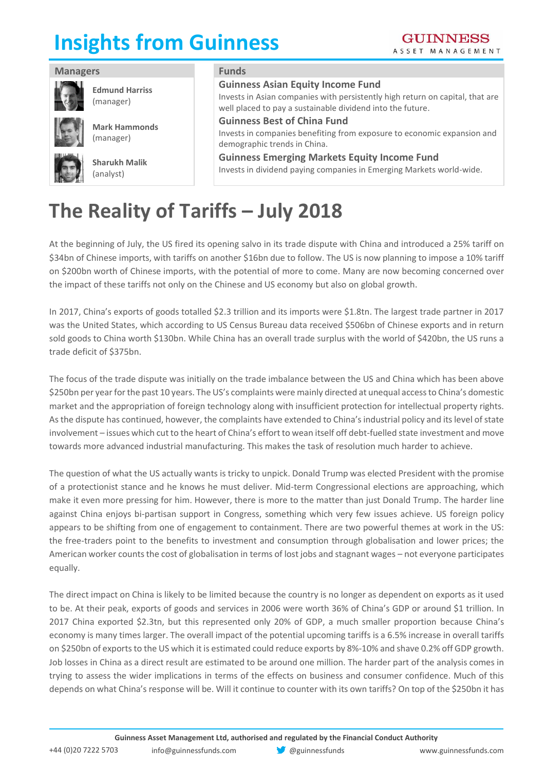# **Insights from Guinness**

| <b>Managers</b>                    | <b>Funds</b>                                                                                                                                                                            |
|------------------------------------|-----------------------------------------------------------------------------------------------------------------------------------------------------------------------------------------|
| <b>Edmund Harriss</b><br>(manager) | <b>Guinness Asian Equity Income Fund</b><br>Invests in Asian companies with persistently high return on capital, that are<br>well placed to pay a sustainable dividend into the future. |
| <b>Mark Hammonds</b><br>(manager)  | <b>Guinness Best of China Fund</b><br>Invests in companies benefiting from exposure to economic expansion and<br>demographic trends in China.                                           |
| <b>Sharukh Malik</b><br>(analyst)  | <b>Guinness Emerging Markets Equity Income Fund</b><br>Invests in dividend paying companies in Emerging Markets world-wide.                                                             |

## **The Reality of Tariffs – July 2018**

At the beginning of July, the US fired its opening salvo in its trade dispute with China and introduced a 25% tariff on \$34bn of Chinese imports, with tariffs on another \$16bn due to follow. The US is now planning to impose a 10% tariff on \$200bn worth of Chinese imports, with the potential of more to come. Many are now becoming concerned over the impact of these tariffs not only on the Chinese and US economy but also on global growth.

In 2017, China's exports of goods totalled \$2.3 trillion and its imports were \$1.8tn. The largest trade partner in 2017 was the United States, which according to US Census Bureau data received \$506bn of Chinese exports and in return sold goods to China worth \$130bn. While China has an overall trade surplus with the world of \$420bn, the US runs a trade deficit of \$375bn.

The focus of the trade dispute was initially on the trade imbalance between the US and China which has been above \$250bn per year for the past 10 years. The US's complaints were mainly directed at unequal access to China's domestic market and the appropriation of foreign technology along with insufficient protection for intellectual property rights. As the dispute has continued, however, the complaints have extended to China's industrial policy and its level of state involvement – issues which cut to the heart of China's effort to wean itself off debt-fuelled state investment and move towards more advanced industrial manufacturing. This makes the task of resolution much harder to achieve.

The question of what the US actually wants is tricky to unpick. Donald Trump was elected President with the promise of a protectionist stance and he knows he must deliver. Mid-term Congressional elections are approaching, which make it even more pressing for him. However, there is more to the matter than just Donald Trump. The harder line against China enjoys bi-partisan support in Congress, something which very few issues achieve. US foreign policy appears to be shifting from one of engagement to containment. There are two powerful themes at work in the US: the free-traders point to the benefits to investment and consumption through globalisation and lower prices; the American worker counts the cost of globalisation in terms of lost jobs and stagnant wages – not everyone participates equally.

The direct impact on China is likely to be limited because the country is no longer as dependent on exports as it used to be. At their peak, exports of goods and services in 2006 were worth 36% of China's GDP or around \$1 trillion. In 2017 China exported \$2.3tn, but this represented only 20% of GDP, a much smaller proportion because China's economy is many times larger. The overall impact of the potential upcoming tariffs is a 6.5% increase in overall tariffs on \$250bn of exports to the US which it is estimated could reduce exports by 8%-10% and shave 0.2% off GDP growth. Job losses in China as a direct result are estimated to be around one million. The harder part of the analysis comes in trying to assess the wider implications in terms of the effects on business and consumer confidence. Much of this depends on what China's response will be. Will it continue to counter with its own tariffs? On top of the \$250bn it has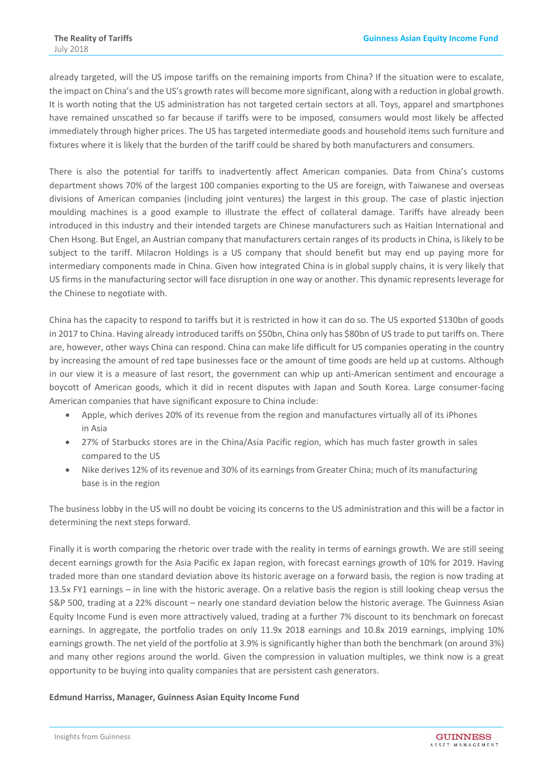already targeted, will the US impose tariffs on the remaining imports from China? If the situation were to escalate, the impact on China's and the US's growth rates will become more significant, along with a reduction in global growth. It is worth noting that the US administration has not targeted certain sectors at all. Toys, apparel and smartphones have remained unscathed so far because if tariffs were to be imposed, consumers would most likely be affected immediately through higher prices. The US has targeted intermediate goods and household items such furniture and fixtures where it is likely that the burden of the tariff could be shared by both manufacturers and consumers.

There is also the potential for tariffs to inadvertently affect American companies. Data from China's customs department shows 70% of the largest 100 companies exporting to the US are foreign, with Taiwanese and overseas divisions of American companies (including joint ventures) the largest in this group. The case of plastic injection moulding machines is a good example to illustrate the effect of collateral damage. Tariffs have already been introduced in this industry and their intended targets are Chinese manufacturers such as Haitian International and Chen Hsong. But Engel, an Austrian company that manufacturers certain ranges of its products in China, is likely to be subject to the tariff. Milacron Holdings is a US company that should benefit but may end up paying more for intermediary components made in China. Given how integrated China is in global supply chains, it is very likely that US firms in the manufacturing sector will face disruption in one way or another. This dynamic represents leverage for the Chinese to negotiate with.

China has the capacity to respond to tariffs but it is restricted in how it can do so. The US exported \$130bn of goods in 2017 to China. Having already introduced tariffs on \$50bn, China only has \$80bn of US trade to put tariffs on. There are, however, other ways China can respond. China can make life difficult for US companies operating in the country by increasing the amount of red tape businesses face or the amount of time goods are held up at customs. Although in our view it is a measure of last resort, the government can whip up anti-American sentiment and encourage a boycott of American goods, which it did in recent disputes with Japan and South Korea. Large consumer-facing American companies that have significant exposure to China include:

- Apple, which derives 20% of its revenue from the region and manufactures virtually all of its iPhones in Asia
- 27% of Starbucks stores are in the China/Asia Pacific region, which has much faster growth in sales compared to the US
- Nike derives 12% of its revenue and 30% of its earnings from Greater China; much of its manufacturing base is in the region

The business lobby in the US will no doubt be voicing its concerns to the US administration and this will be a factor in determining the next steps forward.

Finally it is worth comparing the rhetoric over trade with the reality in terms of earnings growth. We are still seeing decent earnings growth for the Asia Pacific ex Japan region, with forecast earnings growth of 10% for 2019. Having traded more than one standard deviation above its historic average on a forward basis, the region is now trading at 13.5x FY1 earnings – in line with the historic average. On a relative basis the region is still looking cheap versus the S&P 500, trading at a 22% discount – nearly one standard deviation below the historic average. The Guinness Asian Equity Income Fund is even more attractively valued, trading at a further 7% discount to its benchmark on forecast earnings. In aggregate, the portfolio trades on only 11.9x 2018 earnings and 10.8x 2019 earnings, implying 10% earnings growth. The net yield of the portfolio at 3.9% is significantly higher than both the benchmark (on around 3%) and many other regions around the world. Given the compression in valuation multiples, we think now is a great opportunity to be buying into quality companies that are persistent cash generators.

#### **Edmund Harriss, Manager, Guinness Asian Equity Income Fund**